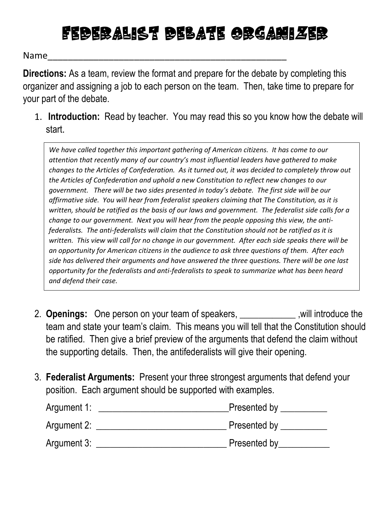## Federalist debate organizer

Name\_\_\_\_\_\_\_\_\_\_\_\_\_\_\_\_\_\_\_\_\_\_\_\_\_\_\_\_\_\_\_\_\_\_\_\_\_\_\_\_\_\_\_\_\_\_\_

**Directions:** As a team, review the format and prepare for the debate by completing this organizer and assigning a job to each person on the team. Then, take time to prepare for your part of the debate.

1. **Introduction:** Read by teacher. You may read this so you know how the debate will start.

*We have called together this important gathering of American citizens. It has come to our attention that recently many of our country's most influential leaders have gathered to make changes to the Articles of Confederation. As it turned out, it was decided to completely throw out the Articles of Confederation and uphold a new Constitution to reflect new changes to our government. There will be two sides presented in today's debate. The first side will be our affirmative side. You will hear from federalist speakers claiming that The Constitution, as it is written, should be ratified as the basis of our laws and government. The federalist side calls for a change to our government. Next you will hear from the people opposing this view, the antifederalists. The anti-federalists will claim that the Constitution should not be ratified as it is written. This view will call for no change in our government. After each side speaks there will be an opportunity for American citizens in the audience to ask three questions of them. After each side has delivered their arguments and have answered the three questions. There will be one last opportunity for the federalists and anti-federalists to speak to summarize what has been heard and defend their case.* 

- 2. **Openings:** One person on your team of speakers, \_\_\_\_\_\_\_\_\_\_\_\_ ,will introduce the team and state your team's claim. This means you will tell that the Constitution should be ratified. Then give a brief preview of the arguments that defend the claim without the supporting details. Then, the antifederalists will give their opening.
- 3. **Federalist Arguments:** Present your three strongest arguments that defend your position. Each argument should be supported with examples.

| Argument 1: | Presented by |
|-------------|--------------|
| Argument 2: | Presented by |
| Argument 3: | Presented by |